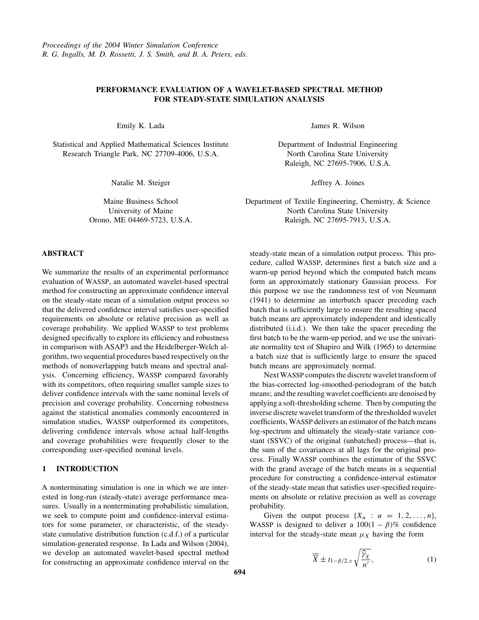# <span id="page-0-0"></span>**PERFORMANCE EVALUATION OF A WAVELET-BASED SPECTRAL METHOD FOR STEADY-STATE SIMULATION ANALYSIS**

Emily K. Lada

Statistical and Applied Mathematical Sciences Institute Research Triangle Park, NC 27709-4006, U.S.A.

Natalie M. Steiger

Maine Business School University of Maine Orono, ME 04469-5723, U.S.A.

**ABSTRACT**

We summarize the results of an experimental performance evaluation of WASSP, an automated wavelet-based spectral method for constructing an approximate confidence interval on the steady-state mean of a simulation output process so that the delivered confidence interval satisfies user-specified requirements on absolute or relative precision as well as coverage probability. We applied WASSP to test problems designed specifically to explore its efficiency and robustness in comparison with ASAP3 and the Heidelberger-Welch algorithm, two sequential procedures based respectively on the methods of nonoverlapping batch means and spectral analysis. Concerning efficiency, WASSP compared favorably with its competitors, often requiring smaller sample sizes to deliver confidence intervals with the same nominal levels of precision and coverage probability. Concerning robustness against the statistical anomalies commonly encountered in simulation studies, WASSP outperformed its competitors, delivering confidence intervals whose actual half-lengths and coverage probabilities were frequently closer to the corresponding user-specified nominal levels.

# **1 INTRODUCTION**

A nonterminating simulation is one in which we are interested in long-run (steady-state) average performance measures. Usually in a nonterminating probabilistic simulation, we seek to compute point and confidence-interval estimators for some parameter, or characteristic, of the steadystate cumulative distribution function (c.d.f.) of a particular simulation-generated response. In Lada and Wilson (2004), we develop an automated wavelet-based spectral method for constructing an approximate confidence interval on the

James R. Wilson

Department of Industrial Engineering North Carolina State University Raleigh, NC 27695-7906, U.S.A.

Jeffrey A. Joines

Department of Textile Engineering, Chemistry, & Science North Carolina State University Raleigh, NC 27695-7913, U.S.A.

steady-state mean of a simulation output process. This procedure, called WASSP, determines first a batch size and a warm-up period beyond which the computed batch means form an approximately stationary Gaussian process. For this purpose we use the randomness test of von Neumann (1941) to determine an interbatch spacer preceding each batch that is sufficiently large to ensure the resulting spaced batch means are approximately independent and identically distributed (i.i.d.). We then take the spacer preceding the first batch to be the warm-up period, and we use the univariate normality test of Shapiro and Wilk (1965) to determine a batch size that is sufficiently large to ensure the spaced batch means are approximately normal.

NextWASSP computes the discrete wavelet transform of the bias-corrected log-smoothed-periodogram of the batch means; and the resulting wavelet coefficients are denoised by applying a soft-thresholding scheme. Then by computing the inverse discrete wavelet transform of the thresholded wavelet coefficients, WASSP delivers an estimator of the batch means log-spectrum and ultimately the steady-state variance constant (SSVC) of the original (unbatched) process—that is, the sum of the covariances at all lags for the original process. Finally WASSP combines the estimator of the SSVC with the grand average of the batch means in a sequential procedure for constructing a confidence-interval estimator of the steady-state mean that satisfies user-specified requirements on absolute or relative precision as well as coverage probability.

Given the output process  $\{X_u : u = 1, 2, \ldots, n\}$ , WASSP is designed to deliver a  $100(1 - \beta)\%$  confidence interval for the steady-state mean  $\mu_X$  having the form

$$
\overline{\overline{X}} \pm t_{1-\beta/2,\nu} \sqrt{\frac{\widehat{\gamma}_X}{n'}},\tag{1}
$$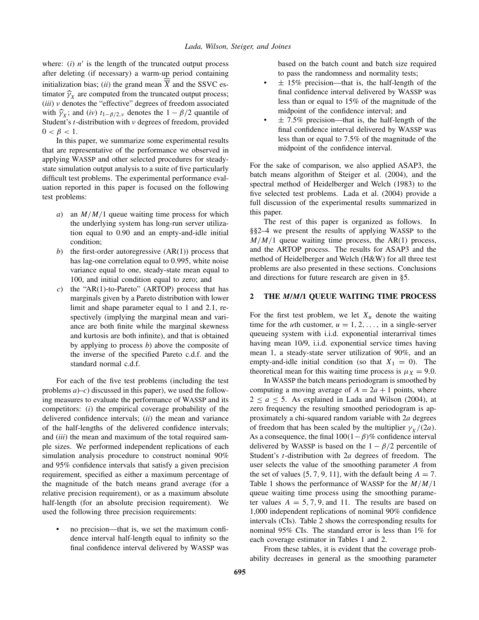where:  $(i)$   $n'$  is the length of the truncated output process after deleting (if necessary) a warm-up period containing initialization bias; (*ii*) the grand mean  $\overline{X}$  and the SSVC estimator  $\hat{\gamma}_X$  are computed from the truncated output process; (*iii*) *ν* denotes the "effective" degrees of freedom associated with  $\hat{\gamma}_X$ ; and (*iv*)  $t_{1-\beta/2}$ , *v* denotes the  $1-\beta/2$  quantile of Student's *t*-distribution with *ν* degrees of freedom, provided  $0 < \beta < 1$ .

In this paper, we summarize some experimental results that are representative of the performance we observed in applying WASSP and other selected procedures for steadystate simulation output analysis to a suite of five particularly difficult test problems. The experimental performance evaluation reported in this paper is focused on the following test problems:

- *a*) an *M/M/*1 queue waiting time process for which the underlying system has long-run server utilization equal to 0.90 and an empty-and-idle initial condition;
- *b*) the first-order autoregressive  $(AR(1))$  process that has lag-one correlation equal to 0*.*995, white noise variance equal to one, steady-state mean equal to 100, and initial condition equal to zero; and
- *c*) the "AR(1)-to-Pareto" (ARTOP) process that has marginals given by a Pareto distribution with lower limit and shape parameter equal to 1 and 2.1, respectively (implying the marginal mean and variance are both finite while the marginal skewness and kurtosis are both infinite), and that is obtained by applying to process *b*) above the composite of the inverse of the specified Pareto c.d.f. and the standard normal c.d.f.

For each of the five test problems (including the test problems *a*)–*c*) discussed in this paper), we used the following measures to evaluate the performance of WASSP and its competitors: (*i*) the empirical coverage probability of the delivered confidence intervals; (*ii*) the mean and variance of the half-lengths of the delivered confidence intervals; and (*iii*) the mean and maximum of the total required sample sizes. We performed independent replications of each simulation analysis procedure to construct nominal 90% and 95% confidence intervals that satisfy a given precision requirement, specified as either a maximum percentage of the magnitude of the batch means grand average (for a relative precision requirement), or as a maximum absolute half-length (for an absolute precision requirement). We used the following three precision requirements:

• no precision—that is, we set the maximum confidence interval half-length equal to infinity so the final confidence interval delivered by WASSP was based on the batch count and batch size required to pass the randomness and normality tests;

- $\pm$  15% precision—that is, the half-length of the final confidence interval delivered by WASSP was less than or equal to 15% of the magnitude of the midpoint of the confidence interval; and
- $\pm$  7.5% precision—that is, the half-length of the final confidence interval delivered by WASSP was less than or equal to 7.5% of the magnitude of the midpoint of the confidence interval.

For the sake of comparison, we also applied ASAP3, the batch means algorithm of Steiger et al. (2004), and the spectral method of Heidelberger and Welch (1983) to the five selected test problems. Lada et al. (2004) provide a full discussion of the experimental results summarized in this paper.

The rest of this paper is organized as follows. In §§2–4 we present the results of applying WASSP to the  $M/M/1$  queue waiting time process, the AR(1) process, and the ARTOP process. The results for ASAP3 and the method of Heidelberger and Welch (H&W) for all three test problems are also presented in these sections. Conclusions and directions for future research are given in §5.

### **2 THE** *M***/***M***/1 QUEUE WAITING TIME PROCESS**

For the first test problem, we let  $X_u$  denote the waiting time for the *u*th customer,  $u = 1, 2, \ldots$ , in a single-server queueing system with i.i.d. exponential interarrival times having mean 10/9, i.i.d. exponential service times having mean 1, a steady-state server utilization of 90%, and an empty-and-idle initial condition (so that  $X_1 = 0$ ). The theoretical mean for this waiting time process is  $\mu_X = 9.0$ .

In WASSP the batch means periodogram is smoothed by computing a moving average of  $A = 2a + 1$  points, where  $2 \le a \le 5$ . As explained in Lada and Wilson (2004), at zero frequency the resulting smoothed periodogram is approximately a chi-squared random variable with 2*a* degrees of freedom that has been scaled by the multiplier  $\gamma_X/(2a)$ . As a consequence, the final 100*(*1−*β)*% confidence interval delivered by WASSP is based on the  $1 - \beta/2$  percentile of Student's *t*-distribution with 2*a* degrees of freedom. The user selects the value of the smoothing parameter *A* from the set of values  $\{5, 7, 9, 11\}$ , with the default being  $A = 7$ . Table [1](#page-2-0) shows the performance of WASSP for the *M/M/*1 queue waiting time process using the smoothing parameter values  $A = 5, 7, 9,$  and 11. The results are based on 1,000 independent replications of nominal 90% confidence intervals (CIs). Table [2](#page-2-0) shows the corresponding results for nominal 95% CIs. The standard error is less than 1% for each coverage estimator in Tables [1](#page-2-0) and [2.](#page-2-0)

From these tables, it is evident that the coverage probability decreases in general as the smoothing parameter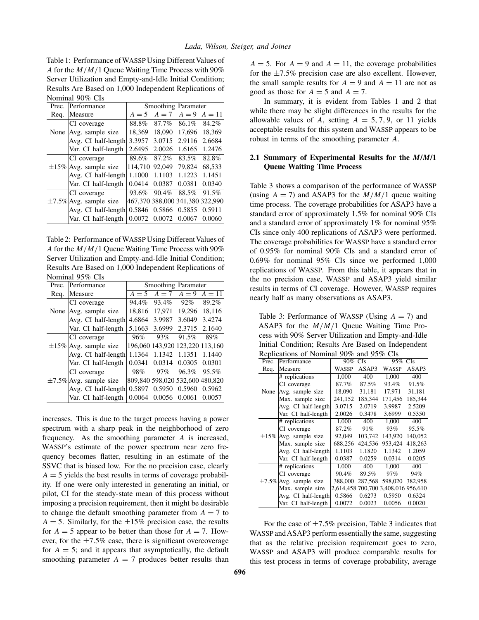<span id="page-2-0"></span>Table 1: Performance of WASSP Using Different Values of *A* for the *M/M/*1 Queue Waiting Time Process with 90% Server Utilization and Empty-and-Idle Initial Condition; Results Are Based on 1,000 Independent Replications of Nominal 90% CIs

| Prec. | Performance                 |                                 | Smoothing Parameter |         |          |  |  |
|-------|-----------------------------|---------------------------------|---------------------|---------|----------|--|--|
| Req.  | Measure                     | $A=5$                           | $A=7$               | $A = 9$ | $A = 11$ |  |  |
|       | CI coverage                 | 88.8%                           | 87.7%               | 86.1%   | 84.2%    |  |  |
| None  | Avg. sample size            | 18,369                          | 18.090              | 17.696  | 18,369   |  |  |
|       | Avg. CI half-length         | 3.3957                          | 3.0715              | 2.9116  | 2.6684   |  |  |
|       | Var. CI half-length         | 2.6495                          | 2.0026              | 1.6165  | 1.2476   |  |  |
|       | CI coverage                 | 89.6%                           | 87.2%               | 83.5%   | 82.8%    |  |  |
|       | $\pm 15\%$ Avg. sample size | 114.710                         | 92,049              | 79.824  | 68,533   |  |  |
|       | Avg. CI half-length         | 1.1000                          | 1.1103              | 1.1223  | 1.1451   |  |  |
|       | Var. CI half-length         | 0.0414                          | 0.0387              | 0.0381  | 0.0340   |  |  |
|       | CI coverage                 | 93.6%                           | 90.4%               | 88.5%   | 91.5%    |  |  |
|       | $\pm$ 7.5% Avg. sample size | 467.370 388.000 341.380 322.990 |                     |         |          |  |  |
|       | Avg. CI half-length         | 0.5846                          | 0.5866              | 0.5855  | 0.5911   |  |  |
|       | Var. CI half-length         | 0.0072                          | 0.0072              | 0.0067  | 0.0060   |  |  |
|       |                             |                                 |                     |         |          |  |  |

Table 2: Performance of WASSP Using Different Values of *A* for the *M/M/*1 Queue Waiting Time Process with 90% Server Utilization and Empty-and-Idle Initial Condition; Results Are Based on 1,000 Independent Replications of Nominal 95% CIs

| Prec. | Performance                  |        | Smoothing Parameter              |                      |                                 |  |  |
|-------|------------------------------|--------|----------------------------------|----------------------|---------------------------------|--|--|
| Req.  | Measure                      |        | $A = 5$ $A = 7$ $A = 9$ $A = 11$ |                      |                                 |  |  |
|       | CI coverage                  | 94.4%  | 93.4%                            | 92%                  | 89.2%                           |  |  |
|       | None Avg. sample size        |        | 18.816 17.971 19.296 18.116      |                      |                                 |  |  |
|       | Avg. CI half-length          | 4.6864 |                                  | 3.9987 3.6049 3.4274 |                                 |  |  |
|       | Var. CI half-length          | 5.1663 | 3.6999                           | 2.3715               | 2.1640                          |  |  |
|       | CI coverage                  | 96%    | 93%                              | 91.5%                | 89%                             |  |  |
|       | $\pm 15\%$ Avg. sample size  |        |                                  |                      | 196,060 143,920 123,220 113,160 |  |  |
|       | Avg. CI half-length          | 1.1364 | 1.1342                           | 1.1351               | 1.1440                          |  |  |
|       | Var. CI half-length          | 0.0341 | 0.0314                           | 0.0305               | 0.0301                          |  |  |
|       | CI coverage                  | 98%    | $97\%$                           | 96.3%                | 95.5%                           |  |  |
|       | $\pm 7.5\%$ Avg. sample size |        |                                  |                      | 809,840 598,020 532,600 480,820 |  |  |
|       | Avg. CI half-length          | 0.5897 | 0.5950                           | 0.5960               | 0.5962                          |  |  |
|       | Var. CI half-length          | 0.0064 | 0.0056                           | 0.0061               | 0.0057                          |  |  |

increases. This is due to the target process having a power spectrum with a sharp peak in the neighborhood of zero frequency. As the smoothing parameter *A* is increased, WASSP's estimate of the power spectrum near zero frequency becomes flatter, resulting in an estimate of the SSVC that is biased low. For the no precision case, clearly  $A = 5$  yields the best results in terms of coverage probability. If one were only interested in generating an initial, or pilot, CI for the steady-state mean of this process without imposing a precision requirement, then it might be desirable to change the default smoothing parameter from  $A = 7$  to  $A = 5$ . Similarly, for the  $\pm 15\%$  precision case, the results for  $A = 5$  appear to be better than those for  $A = 7$ . However, for the  $\pm 7.5\%$  case, there is significant overcoverage for  $A = 5$ ; and it appears that asymptotically, the default smoothing parameter  $A = 7$  produces better results than  $A = 5$ . For  $A = 9$  and  $A = 11$ , the coverage probabilities for the  $\pm 7.5\%$  precision case are also excellent. However, the small sample results for  $A = 9$  and  $A = 11$  are not as good as those for  $A = 5$  and  $A = 7$ .

In summary, it is evident from Tables 1 and 2 that while there may be slight differences in the results for the allowable values of *A*, setting  $A = 5, 7, 9$ , or 11 yields acceptable results for this system and WASSP appears to be robust in terms of the smoothing parameter *A*.

# **2.1 Summary of Experimental Results for the** *M***/***M***/1 Queue Waiting Time Process**

Table 3 shows a comparison of the performance of WASSP (using  $A = 7$ ) and ASAP3 for the  $M/M/1$  queue waiting time process. The coverage probabilities for ASAP3 have a standard error of approximately 1.5% for nominal 90% CIs and a standard error of approximately 1% for nominal 95% CIs since only 400 replications of ASAP3 were performed. The coverage probabilities for WASSP have a standard error of 0.95% for nominal 90% CIs and a standard error of 0.69% for nominal 95% CIs since we performed 1,000 replications of WASSP. From this table, it appears that in the no precision case, WASSP and ASAP3 yield similar results in terms of CI coverage. However, WASSP requires nearly half as many observations as ASAP3.

Table 3: Performance of WASSP (Using  $A = 7$ ) and ASAP3 for the *M/M/*1 Queue Waiting Time Process with 90% Server Utilization and Empty-and-Idle Initial Condition; Results Are Based on Independent Replications of Nominal 90% and 95% CIs

| Reprications of indifficial 30% and 33% Cis |                              |         |         |                                     |         |  |
|---------------------------------------------|------------------------------|---------|---------|-------------------------------------|---------|--|
| Prec.                                       | Performance                  | 90% CIs |         | 95%<br><b>CIs</b>                   |         |  |
| Req.                                        | Measure                      | WASSP   | ASAP3   | <b>WASSP</b>                        | ASAP3   |  |
|                                             | # replications               | 1,000   | 400     | 1.000                               | 400     |  |
|                                             | CI coverage                  | 87.7%   | 87.5%   | 93.4%                               | 91.5%   |  |
| None                                        | Avg. sample size             | 18,090  | 31,181  | 17,971                              | 31,181  |  |
|                                             | Max. sample size             | 241,152 | 185,344 | 171.456                             | 185,344 |  |
|                                             | Avg. CI half-length          | 3.0715  | 2.0719  | 3.9987                              | 2.5209  |  |
|                                             | Var. CI half-length          | 2.0026  | 0.3478  | 3.6999                              | 0.5350  |  |
|                                             | # replications               | 1,000   | 400     | 1,000                               | 400     |  |
|                                             | CI coverage                  | 87.2%   | 91%     | 93%                                 | 95.5%   |  |
| $\pm 15\%$                                  | Avg. sample size             | 92,049  | 103,742 | 143,920                             | 140,052 |  |
|                                             | Max. sample size             | 688,256 | 424,536 | 953,424                             | 418,263 |  |
|                                             | Avg. CI half-length          | 1.1103  | 1.1820  | 1.1342                              | 1.2059  |  |
|                                             | Var. CI half-length          | 0.0387  | 0.0259  | 0.0314                              | 0.0205  |  |
|                                             | # replications               | 1.000   | 400     | 1.000                               | 400     |  |
|                                             | CI coverage                  | 90.4%   | 89.5%   | 97%                                 | 94%     |  |
|                                             | $\pm 7.5\%$ Avg. sample size | 388,000 | 287,568 | 598,020                             | 382,958 |  |
|                                             | Max. sample size             |         |         | 2,614,458 700,700 3,408,016 956,610 |         |  |
|                                             | Avg. CI half-length          | 0.5866  | 0.6273  | 0.5950                              | 0.6324  |  |
|                                             | Var. CI half-length          | 0.0072  | 0.0023  | 0.0056                              | 0.0020  |  |
|                                             |                              |         |         |                                     |         |  |

For the case of  $\pm 7.5\%$  precision, Table 3 indicates that WASSP and ASAP3 perform essentially the same, suggesting that as the relative precision requirement goes to zero, WASSP and ASAP3 will produce comparable results for this test process in terms of coverage probability, average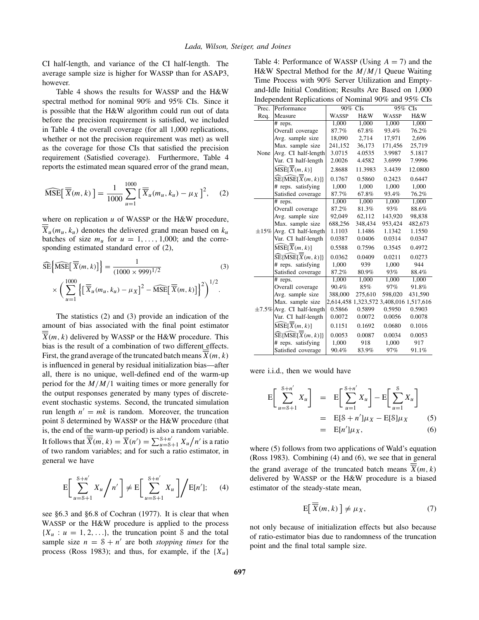<span id="page-3-0"></span>CI half-length, and variance of the CI half-length. The average sample size is higher for WASSP than for ASAP3, however.

Table 4 shows the results for WASSP and the H&W spectral method for nominal 90% and 95% CIs. Since it is possible that the H&W algorithm could run out of data before the precision requirement is satisfied, we included in Table 4 the overall coverage (for all 1,000 replications, whether or not the precision requirement was met) as well as the coverage for those CIs that satisfied the precision requirement (Satisfied coverage). Furthermore, Table 4 reports the estimated mean squared error of the grand mean,

$$
\widehat{\text{MSE}}\left[\overline{\overline{X}}(m,k)\right] = \frac{1}{1000} \sum_{u=1}^{1000} \left[\overline{\overline{X}}_u(m_u,k_u) - \mu_X\right]^2, \quad (2)
$$

where on replication *u* of WASSP or the H&W procedure,  $\overline{X}_u(m_u, k_u)$  denotes the delivered grand mean based on  $k_u$ batches of size  $m_u$  for  $u = 1, \ldots, 1,000$ ; and the corresponding estimated standard error of (2),

$$
\widehat{\text{SE}}\left\{\widehat{\text{MSE}}\left[\overline{\overline{X}}(m,k)\right]\right\} = \frac{1}{(1000 \times 999)^{1/2}}\tag{3}
$$
\n
$$
\times \left(\sum_{u=1}^{1000} \left\{\left[\overline{\overline{X}}_u(m_u, k_u) - \mu_X\right]^2 - \widehat{\text{MSE}}\left[\overline{X}(m,k)\right]\right\}^2\right)^{1/2}.
$$

The statistics (2) and (3) provide an indication of the amount of bias associated with the final point estimator  $\overline{X}(m, k)$  delivered by WASSP or the H&W procedure. This bias is the result of a combination of two different effects. First, the grand average of the truncated batch means  $\overline{X}(m, k)$ is influenced in general by residual initialization bias—after all, there is no unique, well-defined end of the warm-up period for the *M/M/*1 waiting times or more generally for the output responses generated by many types of discreteevent stochastic systems. Second, the truncated simulation run length  $n' = mk$  is random. Moreover, the truncation point S determined by WASSP or the H&W procedure (that is, the end of the warm-up period) is also a random variable. It follows that  $\overline{\overline{X}}(m, k) = \overline{X}(n') = \sum_{u=8+1}^{8+n'} X_u/n'$  is a ratio of two random variables; and for such a ratio estimator, in general we have

$$
E\left[\sum_{u=S+1}^{S+n'} X_u / n'\right] \neq E\left[\sum_{u=S+1}^{S+n'} X_u\right] / E[n'; \quad (4)
$$

see §6.3 and §6.8 of Cochran (1977). It is clear that when WASSP or the H&W procedure is applied to the process  ${X_u : u = 1, 2, \ldots}$ , the truncation point S and the total sample size  $n = \mathcal{S} + n'$  are both *stopping times* for the process (Ross 1983); and thus, for example, if the  ${X_u}$ 

Table 4: Performance of WASSP (Using  $A = 7$ ) and the H&W Spectral Method for the *M/M/*1 Queue Waiting Time Process with 90% Server Utilization and Emptyand-Idle Initial Condition; Results Are Based on 1,000 Independent Replications of Nominal 90% and 95% CIs

| Prec.      | Performance                                                      |              | $90\%$ CIs | 95% CIs      |                               |
|------------|------------------------------------------------------------------|--------------|------------|--------------|-------------------------------|
| Req.       | Measure                                                          | <b>WASSP</b> | H&W        | <b>WASSP</b> | H&W                           |
|            | # reps.                                                          | 1.000        | 1,000      | 1.000        | 1,000                         |
|            | Overall coverage                                                 | 87.7%        | 67.8%      | 93.4%        | 76.2%                         |
|            | Avg. sample size                                                 | 18,090       | 2,714      | 17,971       | 2,696                         |
|            | Max. sample size                                                 | 241,152      | 36,173     | 171,456      | 25,719                        |
| None       | Avg. CI half-length                                              | 3.0715       | 4.0535     | 3.9987       | 5.1817                        |
|            | Var. CI half-length                                              | 2.0026       | 4.4582     | 3.6999       | 7.9996                        |
|            | MSE[X(m, k)]                                                     | 2.8688       | 11.3983    | 3.4439       | 12.0800                       |
|            | $SE[MSE[\overline{X}(m, k)]]$                                    | 0.1767       | 0.5860     | 0.2423       | 0.6447                        |
|            | # reps. satisfying                                               | 1,000        | 1.000      | 1,000        | 1,000                         |
|            | Satisfied coverage                                               | 87.7%        | 67.8%      | 93.4%        | 76.2%                         |
|            | # reps.                                                          | 1.000        | 1.000      | 1.000        | 1,000                         |
|            | Overall coverage                                                 | 87.2%        | 81.3%      | 93%          | 88.6%                         |
|            | Avg. sample size                                                 | 92,049       | 62,112     | 143,920      | 98,838                        |
|            | Max. sample size                                                 | 688,256      | 348,434    | 953,424      | 482,673                       |
| $\pm 15\%$ | Avg. CI half-length                                              | 1.1103       | 1.1486     | 1.1342       | 1.1550                        |
|            | Var. CI half-length                                              | 0.0387       | 0.0406     | 0.0314       | 0.0347                        |
|            | MSE[X(m, k)]                                                     | 0.5588       | 0.7596     | 0.3545       | 0.4972                        |
|            | $\widehat{\text{SE}}\{\widehat{\text{MSE}}[\overline{X}(m,k)]\}$ | 0.0362       | 0.0409     | 0.0211       | 0.0273                        |
|            | # reps. satisfying                                               | 1,000        | 939        | 1,000        | 944                           |
|            | Satisfied coverage                                               | 87.2%        | 80.9%      | 93%          | 88.4%                         |
|            | # reps.                                                          | 1,000        | 1,000      | 1,000        | 1,000                         |
|            | Overall coverage                                                 | 90.4%        | 85%        | 97%          | 91.8%                         |
|            | Avg. sample size                                                 | 388,000      | 275,610    | 598,020      | 431,590                       |
|            | Max. sample size                                                 | 2,614,458    |            |              | 1,323,572 3,408,016 1,517,616 |
|            | $\pm$ 7.5% Avg. CI half-length                                   | 0.5866       | 0.5899     | 0.5950       | 0.5903                        |
|            | Var. CI half-length                                              | 0.0072       | 0.0072     | 0.0056       | 0.0078                        |
|            | $\widehat{\mathrm{MSE}}[\overline{X}(m,k)]$                      | 0.1151       | 0.1692     | 0.0680       | 0.1016                        |
|            | $\widehat{\text{SE}}\{\widehat{\text{MSE}}[\overline{X}(m,k)]\}$ | 0.0053       | 0.0087     | 0.0034       | 0.0053                        |
|            | # reps. satisfying                                               | 1.000        | 918        | 1.000        | 917                           |
|            | Satisfied coverage                                               | 90.4%        | 83.9%      | 97%          | 91.1%                         |

were i.i.d., then we would have

$$
E\left[\sum_{u=S+1}^{S+n'} X_u\right] = E\left[\sum_{u=1}^{S+n'} X_u\right] - E\left[\sum_{u=1}^{S} X_u\right]
$$
  
=  $E[S+n']\mu_X - E[S]\mu_X$  (5)  
=  $E[n']\mu_X$ , (6)

where (5) follows from two applications of Wald's equation (Ross 1983). Combining (4) and (6), we see that in general the grand average of the truncated batch means  $\overline{X}(m, k)$ delivered by WASSP or the H&W procedure is a biased estimator of the steady-state mean,

$$
E\left[\overline{\overline{X}}(m,k)\right] \neq \mu_X,\tag{7}
$$

not only because of initialization effects but also because of ratio-estimator bias due to randomness of the truncation point and the final total sample size.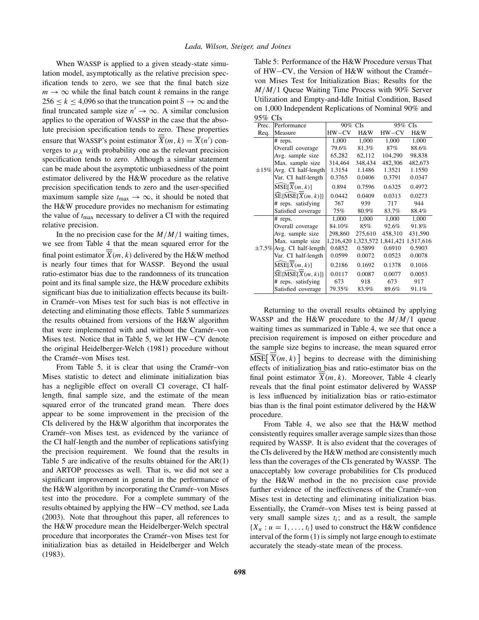When WASSP is applied to a given steady-state simulation model, asymptotically as the relative precision specification tends to zero, we see that the final batch size  $m \rightarrow \infty$  while the final batch count *k* remains in the range  $256 \le k \le 4,096$  so that the truncation point  $\delta \to \infty$  and the final truncated sample size  $n' \rightarrow \infty$ . A similar conclusion applies to the operation of WASSP in the case that the absolute precision specification tends to zero. These properties ensure that WASSP's point estimator  $\overline{X}(m, k) = \overline{X}(n')$  converges to  $\mu_X$  with probability one as the relevant precision specification tends to zero. Although a similar statement can be made about the asymptotic unbiasedness of the point estimator delivered by the H&W procedure as the relative precision specification tends to zero and the user-specified maximum sample size  $t_{\text{max}} \rightarrow \infty$ , it should be noted that the H&W procedure provides no mechanism for estimating the value of *t*max necessary to deliver a CI with the required relative precision.

In the no precision case for the  $M/M/1$  waiting times, we see from Table [4](#page-3-0) that the mean squared error for the final point estimator  $\overline{X}(m, k)$  delivered by the H&W method is nearly four times that for WASSP. Beyond the usual ratio-estimator bias due to the randomness of its truncation point and its final sample size, the H&W procedure exhibits significant bias due to initialization effects because its builtin Cramér–von Mises test for such bias is not effective in detecting and eliminating those effects. Table 5 summarizes the results obtained from versions of the H&W algorithm that were implemented with and without the Cramér–von Mises test. Notice that in Table 5, we let HW−CV denote the original Heidelberger-Welch (1981) procedure without the Cramér–von Mises test.

From Table 5, it is clear that using the Cramér–von Mises statistic to detect and eliminate initialization bias has a negligible effect on overall CI coverage, CI halflength, final sample size, and the estimate of the mean squared error of the truncated grand mean. There does appear to be some improvement in the precision of the CIs delivered by the H&W algorithm that incorporates the Cramér–von Mises test, as evidenced by the variance of the CI half-length and the number of replications satisfying the precision requirement. We found that the results in Table 5 are indicative of the results obtained for the AR(1) and ARTOP processes as well. That is, we did not see a significant improvement in general in the performance of the H&W algorithm by incorporating the Cramér–von Mises test into the procedure. For a complete summary of the results obtained by applying the HW−CV method, see Lada (2003). Note that throughout this paper, all references to the H&W procedure mean the Heidelberger-Welch spectral procedure that incorporates the Cramér–von Mises test for initialization bias as detailed in Heidelberger and Welch (1983).

Table 5: Performance of the H&W Procedure versus That of HW−CV, the Version of H&W without the Cramér– von Mises Test for Initialization Bias; Results for the *M/M/*1 Queue Waiting Time Process with 90% Server Utilization and Empty-and-Idle Initial Condition, Based on 1,000 Independent Replications of Nominal 90% and  $05\%$  CI<sub>s</sub>

| 29 70 VIS  |                                            |           |         |                     |           |
|------------|--------------------------------------------|-----------|---------|---------------------|-----------|
| Prec.      | Performance                                | 90%       | CIs     | 95%<br><b>CIs</b>   |           |
| Req.       | Measure                                    | $HW-CV$   | H&W     | $HW-CV$             | H&W       |
|            | # reps.                                    | 1,000     | 1,000   | 1,000               | 1,000     |
|            | Overall coverage                           | 79.6%     | 81.3%   | 87%                 | 88.6%     |
|            | Avg. sample size                           | 65,282    | 62,112  | 104,290             | 98,838    |
|            | Max. sample size                           | 314,464   | 348,434 | 482,306             | 482,673   |
| $\pm 15\%$ | Avg. CI half-length                        | 1.3154    | 1.1486  | 1.3521              | 1.1550    |
|            | Var. CI half-length                        | 0.3765    | 0.0406  | 0.3791              | 0.0347    |
|            | $\widehat{\text{MSE}}[\overline{X}(m, k)]$ | 0.894     | 0.7596  | 0.6325              | 0.4972    |
|            | SE[MSE[X(m, k)]]                           | 0.0442    | 0.0409  | 0.0313              | 0.0273    |
|            | # reps. satisfying                         | 767       | 939     | 717                 | 944       |
|            | Satisfied coverage                         | 75%       | 80.9%   | 83.7%               | 88.4%     |
|            | # reps.                                    | 1,000     | 1,000   | 1,000               | 1,000     |
|            | Overall coverage                           | 84.10%    | 85%     | 92.6%               | 91.8%     |
|            | Avg. sample size                           | 298,860   | 275,610 | 458,310             | 431,590   |
|            | Max. sample size                           | 1,216,420 |         | 1,323,572 1,841,421 | 1,517,616 |
|            | $\pm$ 7.5% Avg. CI half-length             | 0.6852    | 0.5899  | 0.6910              | 0.5903    |
|            | Var. CI half-length                        | 0.0599    | 0.0072  | 0.0523              | 0.0078    |
|            | MSE[X(m, k)]                               | 0.2186    | 0.1692  | 0.1378              | 0.1016    |
|            | $SE[MSE[\overline{X}(m, k)]]$              | 0.0117    | 0.0087  | 0.0077              | 0.0053    |
|            | # reps. satisfying                         | 673       | 918     | 673                 | 917       |
|            | Satisfied coverage                         | 79.35%    | 83.9%   | 89.6%               | 91.1%     |

Returning to the overall results obtained by applying WASSP and the H&W procedure to the *M/M/*1 queue waiting times as summarized in Table [4,](#page-3-0) we see that once a precision requirement is imposed on either procedure and the sample size begins to increase, the mean squared error  $\widehat{\text{MSE}}\left[\overline{\overline{X}}(m, k)\right]$  begins to decrease with the diminishing effects of initialization bias and ratio-estimator bias on the final point estimator  $\overline{X}(m, k)$ . Moreover, Table [4](#page-3-0) clearly reveals that the final point estimator delivered by WASSP is less influenced by initialization bias or ratio-estimator bias than is the final point estimator delivered by the H&W procedure.

From Table [4,](#page-3-0) we also see that the H&W method consistently requires smaller average sample sizes than those required by WASSP. It is also evident that the coverages of the CIs delivered by the H&W method are consistently much less than the coverages of the CIs generated by WASSP. The unacceptably low coverage probabilities for CIs produced by the H&W method in the no precision case provide further evidence of the ineffectiveness of the Cramér–von Mises test in detecting and eliminating initialization bias. Essentially, the Cramér–von Mises test is being passed at very small sample sizes *ti*; and as a result, the sample  ${X_u : u = 1, \ldots, t_i}$  used to construct the H&W confidence interval of the form [\(1\)](#page-0-0) is simply not large enough to estimate accurately the steady-state mean of the process.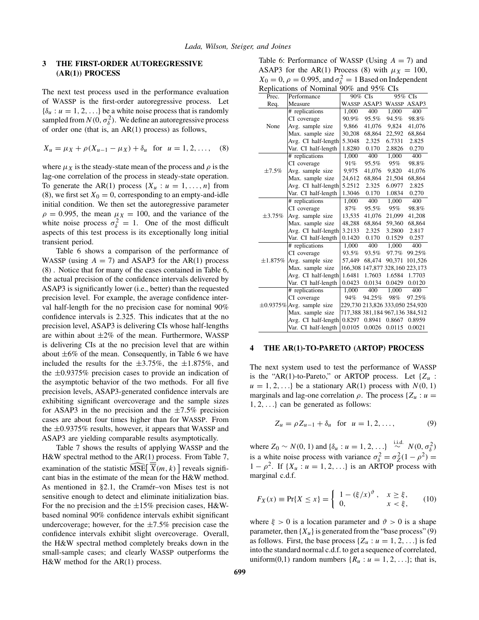## <span id="page-5-0"></span>**3 THE FIRST-ORDER AUTOREGRESSIVE (AR(1)) PROCESS**

The next test process used in the performance evaluation of WASSP is the first-order autoregressive process. Let  ${\delta_u : u = 1, 2, \ldots}$  be a white noise process that is randomly sampled from  $N(0, \sigma_{\delta}^2)$ . We define an autoregressive process of order one (that is, an AR(1) process) as follows,

$$
X_u = \mu_X + \rho(X_{u-1} - \mu_X) + \delta_u \text{ for } u = 1, 2, ..., \quad (8)
$$

where  $\mu_X$  is the steady-state mean of the process and  $\rho$  is the lag-one correlation of the process in steady-state operation. To generate the AR(1) process  $\{X_u : u = 1, \ldots, n\}$  from (8), we first set  $X_0 = 0$ , corresponding to an empty-and-idle initial condition. We then set the autoregressive parameter  $\rho = 0.995$ , the mean  $\mu_X = 100$ , and the variance of the white noise process  $\sigma_{\delta}^2 = 1$ . One of the most difficult aspects of this test process is its exceptionally long initial transient period.

Table 6 shows a comparison of the performance of WASSP (using  $A = 7$ ) and ASAP3 for the AR(1) process (8) . Notice that for many of the cases contained in Table 6, the actual precision of the confidence intervals delivered by ASAP3 is significantly lower (i.e., better) than the requested precision level. For example, the average confidence interval half-length for the no precision case for nominal 90% confidence intervals is 2.325. This indicates that at the no precision level, ASAP3 is delivering CIs whose half-lengths are within about  $\pm 2\%$  of the mean. Furthermore, WASSP is delivering CIs at the no precision level that are within about  $\pm 6\%$  of the mean. Consequently, in Table 6 we have included the results for the  $\pm 3.75\%$ , the  $\pm 1.875\%$ , and the ±0*.*9375% precision cases to provide an indication of the asymptotic behavior of the two methods. For all five precision levels, ASAP3-generated confidence intervals are exhibiting significant overcoverage and the sample sizes for ASAP3 in the no precision and the  $\pm 7.5\%$  precision cases are about four times higher than for WASSP. From the ±0*.*9375% results, however, it appears that WASSP and ASAP3 are yielding comparable results asymptotically.

Table [7](#page-6-0) shows the results of applying WASSP and the H&W spectral method to the AR(1) process. From Table [7,](#page-6-0) examination of the statistic  $\widehat{\text{MSE}}\left[\overline{\overline{X}}(m, k)\right]$  reveals significant bias in the estimate of the mean for the H&W method. As mentioned in [§2.1,](#page-2-0) the Cramér–von Mises test is not sensitive enough to detect and eliminate initialization bias. For the no precision and the  $\pm 15\%$  precision cases, H&Wbased nominal 90% confidence intervals exhibit significant undercoverage; however, for the  $\pm 7.5\%$  precision case the confidence intervals exhibit slight overcoverage. Overall, the H&W spectral method completely breaks down in the small-sample cases; and clearly WASSP outperforms the H&W method for the AR(1) process.

Table 6: Performance of WASSP (Using *A* = 7) and ASAP3 for the AR(1) Process (8) with  $\mu_X = 100$ ,  $X_0 = 0$ ,  $\rho = 0.995$ , and  $\sigma_{\delta}^2 = 1$  Based on Independent Replications of Nominal 90% and 95% CIs

| Reprications of Nominial $90\%$ and $95\%$ CIS<br>Prec. |             |                                                                                                   |                                   |                                                                                        |  |
|---------------------------------------------------------|-------------|---------------------------------------------------------------------------------------------------|-----------------------------------|----------------------------------------------------------------------------------------|--|
|                                                         |             |                                                                                                   |                                   |                                                                                        |  |
| Measure                                                 |             |                                                                                                   |                                   | WASSP ASAP3                                                                            |  |
| # replications                                          | 1,000       | 400                                                                                               | 1,000                             | 400                                                                                    |  |
| CI coverage                                             |             | 95.5%                                                                                             |                                   | 98.8%                                                                                  |  |
| Avg. sample size                                        | 9,866       | 41,076                                                                                            | 9,824                             | 41,076                                                                                 |  |
| Max. sample size                                        | 30,208      | 68,864                                                                                            | 22,592                            | 68,864                                                                                 |  |
| Avg. CI half-length                                     | 5.3048      | 2.325                                                                                             | 6.7331                            | 2.825                                                                                  |  |
| Var. CI half-length                                     | 1.8280      | 0.170                                                                                             | 2.8826                            | 0.270                                                                                  |  |
| # replications                                          | 1,000       | 400                                                                                               | 1,000                             | 400                                                                                    |  |
| CI coverage                                             | 91%         | 95.5%                                                                                             | 95%                               | 98.8%                                                                                  |  |
| Avg. sample size                                        | 9,975       | 41,076                                                                                            | 9,820                             | 41,076                                                                                 |  |
| Max. sample size                                        | 24,612      | 68,864                                                                                            | 21,504                            | 68,864                                                                                 |  |
|                                                         | 5.2512      | 2.325                                                                                             | 6.0977                            | 2.825                                                                                  |  |
| Var. CI half-length                                     | 1.3046      | 0.170                                                                                             | 1.0834                            | 0.270                                                                                  |  |
| # replications                                          | 1,000       | 400                                                                                               | 1,000                             | 400                                                                                    |  |
| CI coverage                                             | 87%         | 95.5%                                                                                             | 95%                               | 98.8%                                                                                  |  |
| Avg. sample size                                        | 13,535      | 41,076                                                                                            | 21,099                            | 41,208                                                                                 |  |
| Max. sample size                                        | 48,288      | 68,864                                                                                            | 59,360                            | 68,864                                                                                 |  |
|                                                         | 3.2133      | 2.325                                                                                             | 3.2800                            | 2.817                                                                                  |  |
| Var. CI half-length                                     | 0.1420      | 0.170                                                                                             | 0.1529                            | 0.257                                                                                  |  |
| # replications                                          | 1,000       | 400                                                                                               | 1,000                             | 400                                                                                    |  |
| CI coverage                                             | 93.5%       | 93.5%                                                                                             | 97.7%                             | 99.25%                                                                                 |  |
| Avg. sample size                                        | 57,449      | 68,474                                                                                            | 90.371                            | 101,526                                                                                |  |
| Max. sample size                                        |             | 147,877                                                                                           |                                   | 328,160 223,173                                                                        |  |
|                                                         | 1.6481      | 1.7603                                                                                            | 1.6584                            | 1.7703                                                                                 |  |
| Var. CI half-length                                     | 0.0423      | 0.0134                                                                                            | 0.0429                            | 0.0120                                                                                 |  |
| # replications                                          | 1,000       | 400                                                                                               | 1,000                             | 400                                                                                    |  |
| CI coverage                                             | 94%         | 94.25%                                                                                            | 98%                               | 97.25%                                                                                 |  |
| $\pm 0.9375\%$ Avg. sample size                         |             |                                                                                                   |                                   |                                                                                        |  |
| Max. sample size                                        |             |                                                                                                   |                                   |                                                                                        |  |
|                                                         | 0.8297      | 0.8941                                                                                            | 0.8667                            | 0.8959                                                                                 |  |
| Var. CI half-length                                     | 0.0105      | 0.0026                                                                                            | 0.0115                            | 0.0021                                                                                 |  |
|                                                         | Performance | 90.9%<br>Avg. CI half-length<br>Avg. CI half-length<br>Avg. CI half-length<br>Avg. CI half-length | 90% CIs<br>WASSP ASAP3<br>166,308 | 95% CIs<br>94.5%<br>229,730 213,826 333,050 254,920<br>717,388 381,184 967,136 384,512 |  |

#### **4 THE AR(1)-TO-PARETO (ARTOP) PROCESS**

The next system used to test the performance of WASSP is the "AR(1)-to-Pareto," or ARTOP process. Let  ${Z_u$  :  $u = 1, 2, \ldots$ } be a stationary AR(1) process with  $N(0, 1)$ marginals and lag-one correlation  $\rho$ . The process { $Z_u$  :  $u =$ 1*,* 2*,...*} can be generated as follows:

$$
Z_u = \rho Z_{u-1} + \delta_u \text{ for } u = 1, 2, ..., \tag{9}
$$

where *Z*<sub>0</sub> ∼ *N*(0*,* 1) and { $δ_u : u = 1, 2, ...$ }  $\stackrel{\text{i.i.d.}}{\sim} N(0, \sigma_\delta^2)$ is a white noise process with variance  $\sigma_{\delta}^2 = \sigma_Z^2(1 - \rho^2)$  =  $1 - \rho^2$ . If  $\{X_u : u = 1, 2, \ldots\}$  is an ARTOP process with marginal c.d.f.

$$
F_X(x) \equiv \Pr\{X \le x\} = \begin{cases} 1 - (\xi/x)^{\vartheta}, & x \ge \xi, \\ 0, & x < \xi, \end{cases}
$$
 (10)

where  $\xi > 0$  is a location parameter and  $\vartheta > 0$  is a shape parameter, then  ${X_u}$  is generated from the "base process" (9) as follows. First, the base process  $\{Z_u : u = 1, 2, \ldots\}$  is fed into the standard normal c.d.f. to get a sequence of correlated, uniform(0,1) random numbers  $\{R_u : u = 1, 2, ...\}$ ; that is,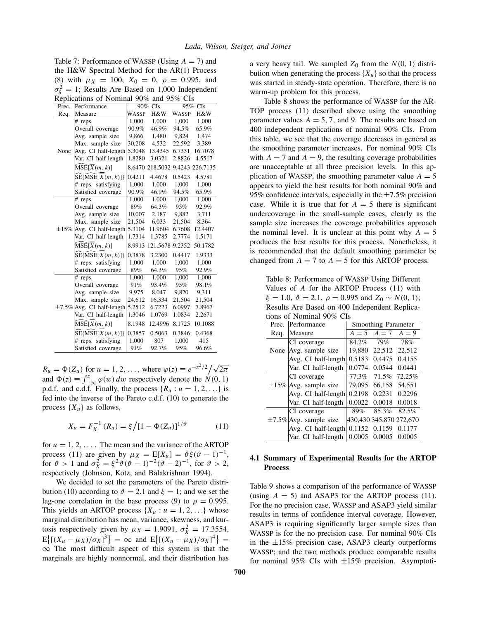<span id="page-6-0"></span>Table 7: Performance of WASSP (Using *A* = 7) and the H&W Spectral Method for the AR(1) Process [\(8\)](#page-5-0) with  $\mu_X = 100$ ,  $X_0 = 0$ ,  $\rho = 0.995$ , and  $\sigma_{\delta}^2 = 1$ ; Results Are Based on 1,000 Independent Replications of Nominal 90% and 95% CIs

| Prec.      | Performance                                                      | 90%          | CIs             |              | 95% CIs         |
|------------|------------------------------------------------------------------|--------------|-----------------|--------------|-----------------|
| Req.       | Measure                                                          | <b>WASSP</b> | H&W             | <b>WASSP</b> | H&W             |
|            | # reps.                                                          | 1,000        | 1,000           | 1,000        | 1,000           |
|            | Overall coverage                                                 | 90.9%        | 46.9%           | 94.5%        | 65.9%           |
|            | Avg. sample size                                                 | 9,866        | 1,480           | 9,824        | 1,474           |
|            | Max. sample size                                                 | 30,208       | 4,532           | 22,592       | 3,389           |
| None       | Avg. CI half-length                                              | 5.3048       | 13.4345         | 6.7331       | 16.7078         |
|            | Var. CI half-length                                              | 1.8280       | 3.0321          | 2.8826       | 4.5517          |
|            | $\widehat{\mathrm{MSE}}[\overline{X}(m, k)]$                     |              | 8.6470 218.5032 |              | 9.4243 226.7135 |
|            | $SE\{\overline{\text{MSE}}[\overline{X}(m, k)]\}$                | 0.4211       | 4.4678          | 0.5423       | 4.5781          |
|            | # reps. satisfying                                               | 1,000        | 1,000           | 1,000        | 1,000           |
|            | Satisfied coverage                                               | 90.9%        | 46.9%           | 94.5%        | 65.9%           |
|            | # reps.                                                          | 1.000        | 1,000           | 1,000        | 1,000           |
|            | Overall coverage                                                 | 89%          | 64.3%           | 95%          | 92.9%           |
|            | Avg. sample size                                                 | 10,007       | 2,187           | 9,882        | 3,711           |
|            | Max. sample size                                                 | 21,504       | 6,033           | 21,504       | 8,364           |
| $\pm 15\%$ | Avg. CI half-length                                              | 5.3104       | 11.9604         | 6.7608       | 12.4407         |
|            | Var. CI half-length                                              | 1.7314       | 1.3785          | 2.7774       | 1.5171          |
|            | $\widehat{\mathrm{MSE}}[\overline{X}(m,k)]$                      |              | 8.9913 121.5678 | 9.2352       | 50.1782         |
|            | $\widehat{\text{SE}}\{\widehat{\text{MSE}}[\overline{X}(m,k)]\}$ | 0.3878       | 3.2300          | 0.4417       | 1.9333          |
|            | # reps. satisfying                                               | 1,000        | 1,000           | 1,000        | 1,000           |
|            | Satisfied coverage                                               | 89%          | 64.3%           | 95%          | 92.9%           |
|            | # reps.                                                          | 1.000        | 1.000           | 1.000        | 1,000           |
|            | Overall coverage                                                 | 91%          | 93.4%           | 95%          | 98.1%           |
|            | Avg. sample size                                                 | 9,975        | 8,047           | 9,820        | 9,311           |
|            | Max. sample size                                                 | 24,612       | 16,334          | 21,504       | 21,504          |
|            | ±7.5% Avg. CI half-length                                        | 5.2512       | 6.7223          | 6.0997       | 7.8967          |
|            | Var. CI half-length                                              | 1.3046       | 1.0769          | 1.0834       | 2.2671          |
|            | MSE[X(m, k)]                                                     | 8.1948       | 12.4996         | 8.1725       | 10.1088         |
|            | $\widehat{\text{SE}}\{\widehat{\text{MSE}}[\overline{X}(m,k)]\}$ | 0.3857       | 0.5063          | 0.3846       | 0.4368          |
|            | # reps. satisfying                                               | 1,000        | 807             | 1,000        | 415             |
|            | Satisfied coverage                                               | 91%          | 92.7%           | 95%          | 96.6%           |

 $R_u = \Phi(Z_u)$  for  $u = 1, 2, \dots$ , where  $\varphi(z) \equiv e^{-z^2/2} / \sqrt{2\pi}$ and  $\Phi(z) \equiv \int_{-\infty}^{z} \varphi(w) dw$  respectively denote the  $N(0, 1)$ p.d.f. and c.d.f. Finally, the process  $\{R_u : u = 1, 2, ...\}$  is fed into the inverse of the Pareto c.d.f. [\(10\)](#page-5-0) to generate the process  $\{X_u\}$  as follows,

$$
X_u = F_X^{-1}(R_u) = \xi / [1 - \Phi(Z_u)]^{1/\vartheta}
$$
 (11)

for  $u = 1, 2, \ldots$ . The mean and the variance of the ARTOP process (11) are given by  $\mu_X = E[X_u] = \vartheta \xi(\vartheta - 1)^{-1}$ , for  $\vartheta > 1$  and  $\sigma_X^2 = \xi^2 \vartheta (\vartheta - 1)^{-2} (\vartheta - 2)^{-1}$ , for  $\vartheta > 2$ , respectively (Johnson, Kotz, and Balakrishnan 1994).

We decided to set the parameters of the Pareto distri-bution [\(10\)](#page-5-0) according to  $\vartheta = 2.1$  and  $\xi = 1$ ; and we set the lag-one correlation in the base process [\(9\)](#page-5-0) to  $\rho = 0.995$ . This yields an ARTOP process  $\{X_u : u = 1, 2, ...\}$  whose marginal distribution has mean, variance, skewness, and kurtosis respectively given by  $\mu_X = 1.9091$ ,  $\sigma_X^2 = 17.3554$ ,  $E\{[(X_u - \mu_X)/\sigma_X]^3\} = \infty$  and  $E\{[(X_u - \mu_X)/\sigma_X]^4\} =$  $\infty$  The most difficult aspect of this system is that the marginals are highly nonnormal, and their distribution has a very heavy tail. We sampled  $Z_0$  from the  $N(0, 1)$  distribution when generating the process  ${X_u}$  so that the process was started in steady-state operation. Therefore, there is no warm-up problem for this process.

Table 8 shows the performance of WASSP for the AR-TOP process (11) described above using the smoothing parameter values  $A = 5, 7,$  and 9. The results are based on 400 independent replications of nominal 90% CIs. From this table, we see that the coverage decreases in general as the smoothing parameter increases. For nominal 90% CIs with  $A = 7$  and  $A = 9$ , the resulting coverage probabilities are unacceptable at all three precision levels. In this application of WASSP, the smoothing parameter value  $A = 5$ appears to yield the best results for both nominal 90% and 95% confidence intervals, especially in the ±7*.*5% precision case. While it is true that for  $A = 5$  there is significant undercoverage in the small-sample cases, clearly as the sample size increases the coverage probabilities approach the nominal level. It is unclear at this point why  $A = 5$ produces the best results for this process. Nonetheless, it is recommended that the default smoothing parameter be changed from  $A = 7$  to  $A = 5$  for this ARTOP process.

Table 8: Performance of WASSP Using Different Values of *A* for the ARTOP Process (11) with  $\xi = 1.0, \vartheta = 2.1, \rho = 0.995 \text{ and } Z_0 \sim N(0, 1);$ Results Are Based on 400 Independent Replications of Nominal 90% CIs

| 011011111417000000 |                             |        |                         |         |  |
|--------------------|-----------------------------|--------|-------------------------|---------|--|
| Prec.              | Performance                 |        | Smoothing Parameter     |         |  |
| Req.               | Measure                     |        | $A = 5$ $A = 7$         | $A = 9$ |  |
|                    | CI coverage                 | 84.2%  | 79%                     | 78%     |  |
| None               | Avg. sample size            | 19.880 | 22,512 22,512           |         |  |
|                    | Avg. CI half-length         | 0.5183 | 0.4475                  | 0.4155  |  |
|                    | Var. CI half-length         | 0.0774 | 0.0544                  | 0.0441  |  |
|                    | CI coverage                 | 77.3%  | 71.5%                   | 72.25%  |  |
|                    | $\pm 15\%$ Avg. sample size | 79.095 | 66,158                  | 54.551  |  |
|                    | Avg. CI half-length         | 0.2198 | 0.2231                  | 0.2296  |  |
|                    | Var. CI half-length         | 0.0022 | 0.0018                  | 0.0018  |  |
|                    | CI coverage                 | 89%    | 85.3%                   | 82.5%   |  |
|                    | $\pm$ 7.5% Avg. sample size |        | 430,430 345,870 272,670 |         |  |
|                    | Avg. CI half-length         |        | 0.1152 0.1159           | 0.1177  |  |
|                    | Var. CI half-length         | 0.0005 | 0.0005                  | 0.0005  |  |
|                    |                             |        |                         |         |  |

## **4.1 Summary of Experimental Results for the ARTOP Process**

Table [9](#page-7-0) shows a comparison of the performance of WASSP (using  $A = 5$ ) and ASAP3 for the ARTOP process (11). For the no precision case, WASSP and ASAP3 yield similar results in terms of confidence interval coverage. However, ASAP3 is requiring significantly larger sample sizes than WASSP is for the no precision case. For nominal 90% CIs in the  $\pm 15\%$  precision case, ASAP3 clearly outperforms WASSP; and the two methods produce comparable results for nominal  $95\%$  CIs with  $\pm 15\%$  precision. Asymptoti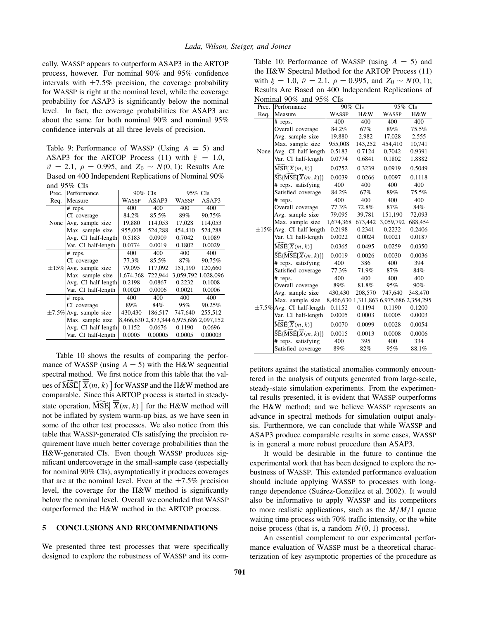<span id="page-7-0"></span>cally, WASSP appears to outperform ASAP3 in the ARTOP process, however. For nominal 90% and 95% confidence intervals with  $\pm 7.5\%$  precision, the coverage probability for WASSP is right at the nominal level, while the coverage probability for ASAP3 is significantly below the nominal level. In fact, the coverage probabilities for ASAP3 are about the same for both nominal 90% and nominal 95% confidence intervals at all three levels of precision.

Table 9: Performance of WASSP (Using *A* = 5) and ASAP3 for the ARTOP Process [\(11\)](#page-6-0) with  $\xi = 1.0$ ,  $\vartheta = 2.1, \ \rho = 0.995, \text{ and } Z_0 \sim N(0, 1); \text{ Results Are}$ Based on 400 Independent Replications of Nominal 90% and 95% CIs

| Prec.      | Performance                 | 90% CIs   |         | 95% CIs                                 |         |
|------------|-----------------------------|-----------|---------|-----------------------------------------|---------|
| Req.       | Measure                     | WASSP     | ASAP3   | <b>WASSP</b>                            | ASAP3   |
|            | # reps.                     | 400       | 400     | 400                                     | 400     |
|            | CI coverage                 | 84.2%     | 85.5%   | 89%                                     | 90.75%  |
| None       | Avg. sample size            | 19,880    | 114,053 | 17,028                                  | 114.053 |
|            | Max. sample size            | 955,008   | 524,288 | 454,410                                 | 524,288 |
|            | Avg. CI half-length         | 0.5183    | 0.0909  | 0.7042                                  | 0.1089  |
|            | Var. CI half-length         | 0.0774    | 0.0019  | 0.1802                                  | 0.0029  |
|            | # reps.                     | 400       | 400     | 400                                     | 400     |
|            | CI coverage                 | 77.3%     | 85.5%   | 87%                                     | 90.75%  |
| $\pm 15\%$ | Avg. sample size            | 79,095    | 117.092 | 151,190                                 | 120,660 |
|            | Max. sample size            | 1,674,368 | 722,944 | 3,059,792 1,028,096                     |         |
|            | Avg. CI half-length         | 0.2198    | 0.0867  | 0.2232                                  | 0.1008  |
|            | Var. CI half-length         | 0.0020    | 0.0006  | 0.0021                                  | 0.0006  |
|            | # reps.                     | 400       | 400     | 400                                     | 400     |
|            | CI coverage                 | 89%       | 84%     | 95%                                     | 90.25%  |
|            | $\pm$ 7.5% Avg. sample size | 430,430   | 186,517 | 747,640                                 | 255,512 |
|            | Max. sample size            |           |         | 8,466,630 2,873,344 6,975,686 2,097,152 |         |
|            | Avg. CI half-length         | 0.1152    | 0.0676  | 0.1190                                  | 0.0696  |
|            | Var. CI half-length         | 0.0005    | 0.00005 | 0.0005                                  | 0.00003 |

Table 10 shows the results of comparing the performance of WASSP (using  $A = 5$ ) with the H&W sequential spectral method. We first notice from this table that the values of  $\widehat{\mathrm{MSE}}[\; \overline{\overline{X}}(m,k)\;]$  for WASSP and the H&W method are comparable. Since this ARTOP process is started in steadystate operation,  $\widehat{\text{MSE}}[\ \overline{\overline{X}}(m, k)]$  for the H&W method will not be inflated by system warm-up bias, as we have seen in some of the other test processes. We also notice from this table that WASSP-generated CIs satisfying the precision requirement have much better coverage probabilities than the H&W-generated CIs. Even though WASSP produces significant undercoverage in the small-sample case (especially for nominal 90% CIs), asymptotically it produces coverages that are at the nominal level. Even at the  $\pm 7.5\%$  precision level, the coverage for the H&W method is significantly below the nominal level. Overall we concluded that WASSP outperformed the H&W method in the ARTOP process.

### **5 CONCLUSIONS AND RECOMMENDATIONS**

We presented three test processes that were specifically designed to explore the robustness of WASSP and its com-

Table 10: Performance of WASSP (using *A* = 5) and the H&W Spectral Method for the ARTOP Process [\(11\)](#page-6-0) with  $\xi = 1.0$ ,  $\vartheta = 2.1$ ,  $\rho = 0.995$ , and  $Z_0 \sim N(0, 1)$ ; Results Are Based on 400 Independent Replications of Nominal 90% and 95% CIs

| Prec.      | тулпппат 7070 анд<br>Performance                                 | $2270$ C13<br>90% CIs |         | 95% CIs                                 |         |
|------------|------------------------------------------------------------------|-----------------------|---------|-----------------------------------------|---------|
| Req.       | Measure                                                          | <b>WASSP</b>          | H&W     | WASSP                                   | H&W     |
|            | # reps.                                                          | 400                   | 400     | 400                                     | 400     |
|            | Overall coverage                                                 | 84.2%                 | 67%     | 89%                                     | 75.5%   |
|            | Avg. sample size                                                 | 19,880                | 2,982   | 17,028                                  | 2,555   |
|            | Max. sample size                                                 | 955,008               | 143,252 | 454,410                                 | 10,741  |
| None       | Avg. CI half-length                                              | 0.5183                | 0.7124  | 0.7042                                  | 0.9391  |
|            | Var. CI half-length                                              | 0.0774                | 0.6841  | 0.1802                                  | 1.8882  |
|            | $\widehat{\mathrm{MSE}}[\overline{X}(m,k)]$                      | 0.0752                | 0.3239  | 0.0919                                  | 0.5049  |
|            | $\widehat{\text{SE}}\{\widehat{\text{MSE}}[\overline{X}(m,k)]\}$ | 0.0039                | 0.0266  | 0.0097                                  | 0.1118  |
|            | # reps. satisfying                                               | 400                   | 400     | 400                                     | 400     |
|            | Satisfied coverage                                               | 84.2%                 | 67%     | 89%                                     | 75.5%   |
|            | # reps.                                                          | 400                   | 400     | 400                                     | 400     |
|            | Overall coverage                                                 | 77.3%                 | 72.8%   | 87%                                     | 84%     |
|            | Avg. sample size                                                 | 79.095                | 39,781  | 151,190                                 | 72,093  |
|            | Max. sample size                                                 | 1,674,368             | 673,442 | 3,059,792                               | 688,454 |
| $\pm 15\%$ | Avg. CI half-length                                              | 0.2198                | 0.2341  | 0.2232                                  | 0.2406  |
|            | Var. CI half-length                                              | 0.0022                | 0.0024  | 0.0021                                  | 0.0187  |
|            | $\widehat{\mathrm{MSE}}[\overline{X}(m,k)]$                      | 0.0365                | 0.0495  | 0.0259                                  | 0.0350  |
|            | $\widehat{\text{SE}}\{\widehat{\text{MSE}}[\overline{X}(m,k)]\}$ | 0.0019                | 0.0026  | 0.0030                                  | 0.0036  |
|            | # reps. satisfying                                               | 400                   | 386     | 400                                     | 394     |
|            | Satisfied coverage                                               | 77.3%                 | 71.9%   | 87%                                     | 84%     |
|            | # reps.                                                          | 400                   | 400     | 400                                     | 400     |
|            | Overall coverage                                                 | 89%                   | 81.8%   | 95%                                     | 90%     |
|            | Avg. sample size                                                 | 430,430               | 208,570 | 747,640                                 | 348,470 |
|            | Max. sample size                                                 |                       |         | 8,466,630 1,311,863 6,975,686 2,354,295 |         |
|            | $\pm$ 7.5% Avg. CI half-length                                   | 0.1152                | 0.1194  | 0.1190                                  | 0.1200  |
|            | Var. CI half-length                                              | 0.0005                | 0.0003  | 0.0005                                  | 0.0003  |
|            | $\widehat{\mathrm{MSE}}[\overline{X}(m,k)]$                      | 0.0070                | 0.0099  | 0.0028                                  | 0.0054  |
|            | $\widehat{\text{SE}}\{\widehat{\text{MSE}}[\overline{X}(m,k)]\}$ | 0.0015                | 0.0013  | 0.0008                                  | 0.0006  |
|            | # reps. satisfying                                               | 400                   | 395     | 400                                     | 334     |
|            | Satisfied coverage                                               | 89%                   | 82%     | 95%                                     | 88.1%   |

petitors against the statistical anomalies commonly encountered in the analysis of outputs generated from large-scale, steady-state simulation experiments. From the experimental results presented, it is evident that WASSP outperforms the H&W method; and we believe WASSP represents an advance in spectral methods for simulation output analysis. Furthermore, we can conclude that while WASSP and ASAP3 produce comparable results in some cases, WASSP is in general a more robust procedure than ASAP3.

It would be desirable in the future to continue the experimental work that has been designed to explore the robustness of WASSP. This extended performance evaluation should include applying WASSP to processes with longrange dependence (Suárez-González et al. 2002). It would also be informative to apply WASSP and its competitors to more realistic applications, such as the *M/M/*1 queue waiting time process with 70% traffic intensity, or the white noise process (that is, a random  $N(0, 1)$  process).

An essential complement to our experimental performance evaluation of WASSP must be a theoretical characterization of key asymptotic properties of the procedure as